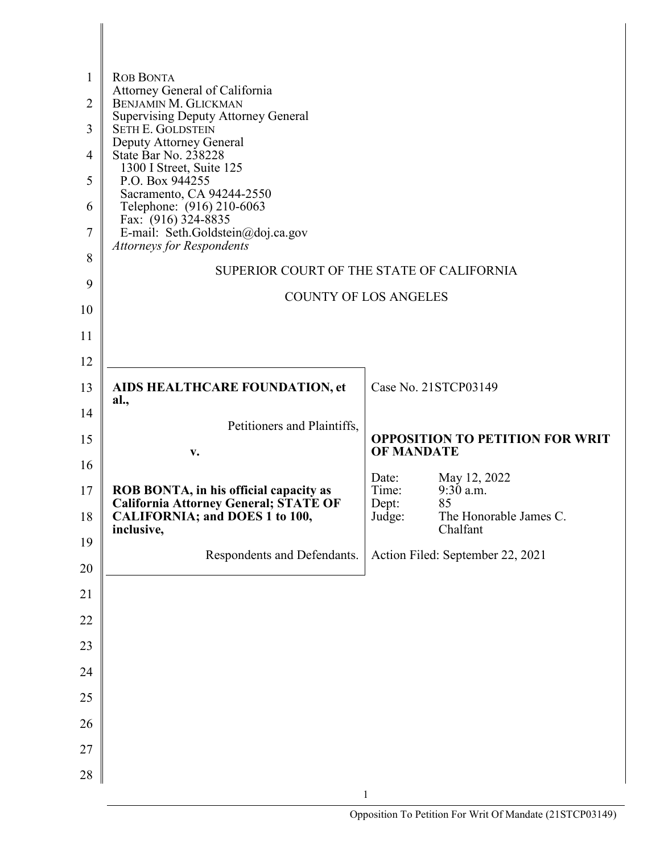| $\mathbf{1}$   | <b>ROB BONTA</b><br>Attorney General of California                                           |                   |                                        |
|----------------|----------------------------------------------------------------------------------------------|-------------------|----------------------------------------|
| 2              | <b>BENJAMIN M. GLICKMAN</b><br><b>Supervising Deputy Attorney General</b>                    |                   |                                        |
| 3              | <b>SETH E. GOLDSTEIN</b>                                                                     |                   |                                        |
| $\overline{4}$ | Deputy Attorney General<br>State Bar No. 238228                                              |                   |                                        |
| 5              | 1300 I Street, Suite 125<br>P.O. Box 944255                                                  |                   |                                        |
| 6              | Sacramento, CA 94244-2550<br>Telephone: (916) 210-6063                                       |                   |                                        |
| 7              | Fax: (916) 324-8835<br>E-mail: Seth.Goldstein@doj.ca.gov<br><b>Attorneys for Respondents</b> |                   |                                        |
| 8              | SUPERIOR COURT OF THE STATE OF CALIFORNIA                                                    |                   |                                        |
| 9              | <b>COUNTY OF LOS ANGELES</b>                                                                 |                   |                                        |
| 10             |                                                                                              |                   |                                        |
| 11             |                                                                                              |                   |                                        |
| 12             |                                                                                              |                   | Case No. 21STCP03149                   |
| 13             | AIDS HEALTHCARE FOUNDATION, et<br>al.,                                                       |                   |                                        |
| 14             | Petitioners and Plaintiffs,                                                                  |                   | <b>OPPOSITION TO PETITION FOR WRIT</b> |
| 15<br>16       | v.                                                                                           | <b>OF MANDATE</b> |                                        |
| 17             |                                                                                              | Date:<br>Time:    | May 12, 2022<br>9:30 a.m.              |
|                | ROB BONTA, in his official capacity as<br><b>California Attorney General; STATE OF</b>       | Dept:             | 85                                     |
| 18             | <b>CALIFORNIA; and DOES 1 to 100,</b><br>inclusive,                                          | Judge:            | The Honorable James C.<br>Chalfant     |
| 19<br>20       | Respondents and Defendants.                                                                  |                   | Action Filed: September 22, 2021       |
| 21             |                                                                                              |                   |                                        |
| 22             |                                                                                              |                   |                                        |
| 23             |                                                                                              |                   |                                        |
| 24             |                                                                                              |                   |                                        |
| 25             |                                                                                              |                   |                                        |
| 26             |                                                                                              |                   |                                        |
| 27             |                                                                                              |                   |                                        |
| 28             |                                                                                              |                   |                                        |
|                |                                                                                              | $\mathbf{1}$      |                                        |

Π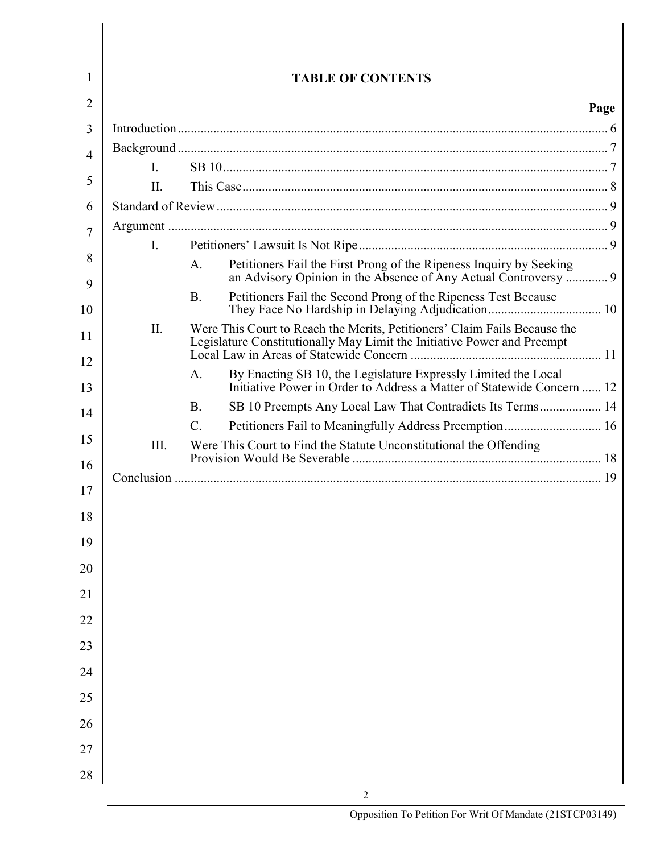| 1  |     | <b>TABLE OF CONTENTS</b>                                                                                                                             |
|----|-----|------------------------------------------------------------------------------------------------------------------------------------------------------|
| 2  |     | Page                                                                                                                                                 |
| 3  |     |                                                                                                                                                      |
| 4  |     |                                                                                                                                                      |
|    | L.  |                                                                                                                                                      |
| 5  | II. |                                                                                                                                                      |
| 6  |     |                                                                                                                                                      |
| 7  |     |                                                                                                                                                      |
| 8  | I.  | Petitioners Fail the First Prong of the Ripeness Inquiry by Seeking<br>A.                                                                            |
| 9  |     | an Advisory Opinion in the Absence of Any Actual Controversy  9                                                                                      |
| 10 |     | Petitioners Fail the Second Prong of the Ripeness Test Because<br><b>B.</b>                                                                          |
| 11 | II. | Were This Court to Reach the Merits, Petitioners' Claim Fails Because the<br>Legislature Constitutionally May Limit the Initiative Power and Preempt |
| 12 |     |                                                                                                                                                      |
| 13 |     | By Enacting SB 10, the Legislature Expressly Limited the Local<br>A.<br>Initiative Power in Order to Address a Matter of Statewide Concern  12       |
| 14 |     | SB 10 Preempts Any Local Law That Contradicts Its Terms 14<br><b>B.</b>                                                                              |
| 15 |     | Petitioners Fail to Meaningfully Address Preemption 16<br>$C$ .                                                                                      |
| 16 | Ш.  | Were This Court to Find the Statute Unconstitutional the Offending                                                                                   |
|    |     |                                                                                                                                                      |
| 17 |     |                                                                                                                                                      |
| 18 |     |                                                                                                                                                      |
| 19 |     |                                                                                                                                                      |
| 20 |     |                                                                                                                                                      |
| 21 |     |                                                                                                                                                      |
| 22 |     |                                                                                                                                                      |
| 23 |     |                                                                                                                                                      |
| 24 |     |                                                                                                                                                      |
| 25 |     |                                                                                                                                                      |
| 26 |     |                                                                                                                                                      |
| 27 |     |                                                                                                                                                      |
| 28 |     | 2                                                                                                                                                    |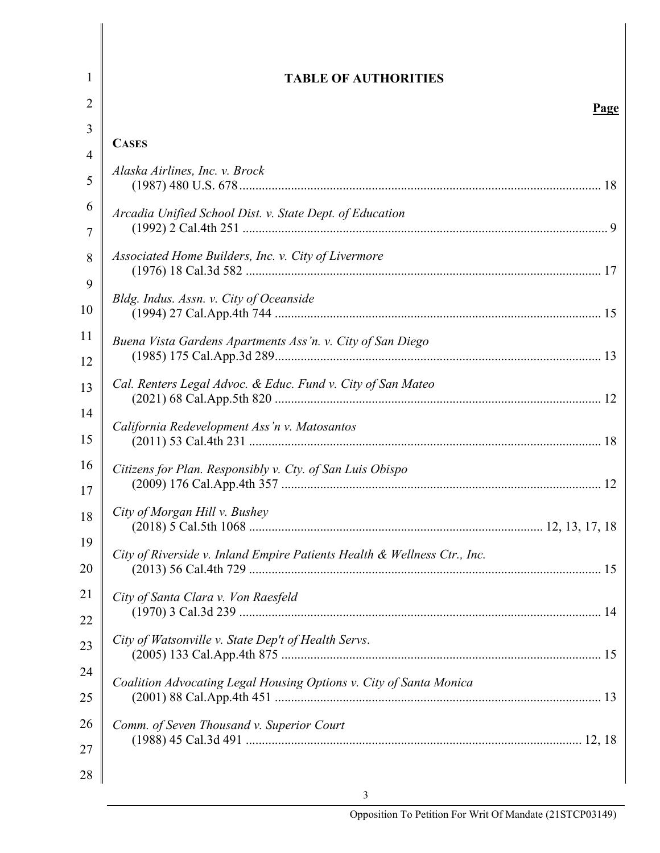| 1  | <b>TABLE OF AUTHORITIES</b>                                              |
|----|--------------------------------------------------------------------------|
| 2  | <b>Page</b>                                                              |
| 3  |                                                                          |
| 4  | <b>CASES</b>                                                             |
| 5  | Alaska Airlines, Inc. v. Brock                                           |
| 6  | Arcadia Unified School Dist. v. State Dept. of Education                 |
| 7  |                                                                          |
| 8  | Associated Home Builders, Inc. v. City of Livermore                      |
| 9  | Bldg. Indus. Assn. v. City of Oceanside                                  |
| 10 |                                                                          |
| 11 | Buena Vista Gardens Apartments Ass'n. v. City of San Diego               |
| 12 |                                                                          |
| 13 | Cal. Renters Legal Advoc. & Educ. Fund v. City of San Mateo              |
| 14 | California Redevelopment Ass'n v. Matosantos                             |
| 15 |                                                                          |
| 16 | Citizens for Plan. Responsibly v. Cty. of San Luis Obispo                |
| 17 |                                                                          |
| 18 | City of Morgan Hill v. Bushey                                            |
| 19 | City of Riverside v. Inland Empire Patients Health & Wellness Ctr., Inc. |
| 20 |                                                                          |
| 21 | City of Santa Clara v. Von Raesfeld                                      |
| 22 |                                                                          |
| 23 | City of Watsonville v. State Dep't of Health Servs.                      |
| 24 | Coalition Advocating Legal Housing Options v. City of Santa Monica       |
| 25 |                                                                          |
| 26 | Comm. of Seven Thousand v. Superior Court                                |
| 27 |                                                                          |
| 28 |                                                                          |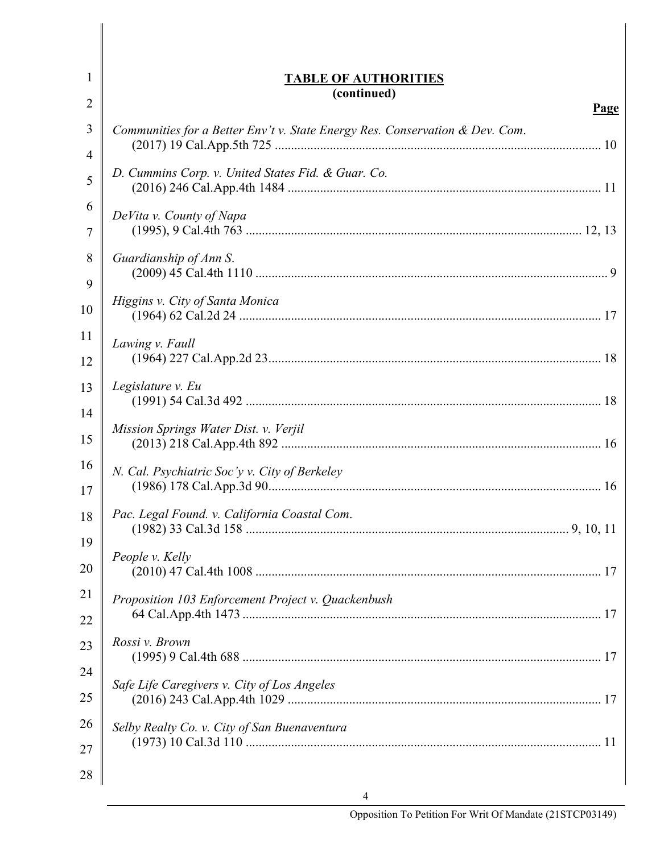| 1              | <b>TABLE OF AUTHORITIES</b>                                                  |
|----------------|------------------------------------------------------------------------------|
| $\overline{2}$ | (continued)<br>Page                                                          |
| 3              | Communities for a Better Env't v. State Energy Res. Conservation & Dev. Com. |
| 4              |                                                                              |
| 5              | D. Cummins Corp. v. United States Fid. & Guar. Co.                           |
| 6              | DeVita v. County of Napa                                                     |
| 7              |                                                                              |
| 8              | Guardianship of Ann S.                                                       |
| 9              | Higgins v. City of Santa Monica                                              |
| 10             |                                                                              |
| 11             | Lawing v. Faull                                                              |
| 12             |                                                                              |
| 13             | Legislature v. Eu                                                            |
| 14             | Mission Springs Water Dist. v. Verjil                                        |
| 15             |                                                                              |
| 16             | N. Cal. Psychiatric Soc'y v. City of Berkeley                                |
| 17             |                                                                              |
| 18             | Pac. Legal Found. v. California Coastal Com.                                 |
| 19             | People v. Kelly                                                              |
| 20             |                                                                              |
| 21             | Proposition 103 Enforcement Project v. Quackenbush                           |
| 22             |                                                                              |
| 23             | Rossi v. Brown                                                               |
| 24             | Safe Life Caregivers v. City of Los Angeles                                  |
| 25             |                                                                              |
| 26             | Selby Realty Co. v. City of San Buenaventura                                 |
| 27             |                                                                              |
| 28             |                                                                              |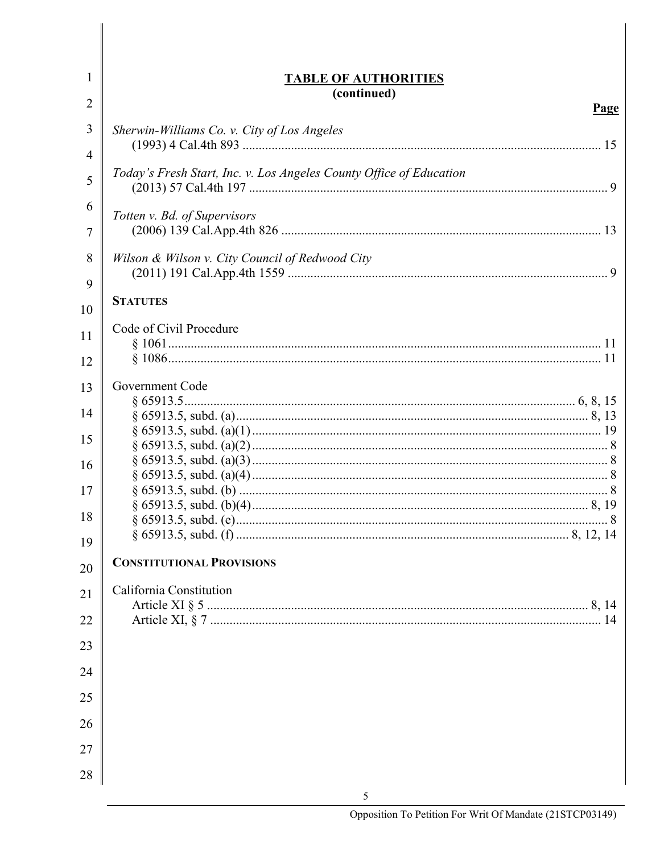| 1      | <b>TABLE OF AUTHORITIES</b>                                         |
|--------|---------------------------------------------------------------------|
| 2      | (continued)<br>Page                                                 |
| 3      | Sherwin-Williams Co. v. City of Los Angeles                         |
| 4<br>5 | Today's Fresh Start, Inc. v. Los Angeles County Office of Education |
| 6      |                                                                     |
| 7      | Totten v. Bd. of Supervisors                                        |
| 8      | Wilson & Wilson v. City Council of Redwood City                     |
| 9      | <b>STATUTES</b>                                                     |
| 10     |                                                                     |
| 11     | Code of Civil Procedure                                             |
| 12     |                                                                     |
| 13     | Government Code                                                     |
| 14     |                                                                     |
| 15     |                                                                     |
| 16     |                                                                     |
| 17     |                                                                     |
|        |                                                                     |
| 18     |                                                                     |
| 19     |                                                                     |
| 20     | <b>CONSTITUTIONAL PROVISIONS</b>                                    |
| 21     | California Constitution                                             |
| 22     |                                                                     |
|        |                                                                     |
| 23     |                                                                     |
| 24     |                                                                     |
| 25     |                                                                     |
| 26     |                                                                     |
| 27     |                                                                     |
| 28     |                                                                     |
|        | 5                                                                   |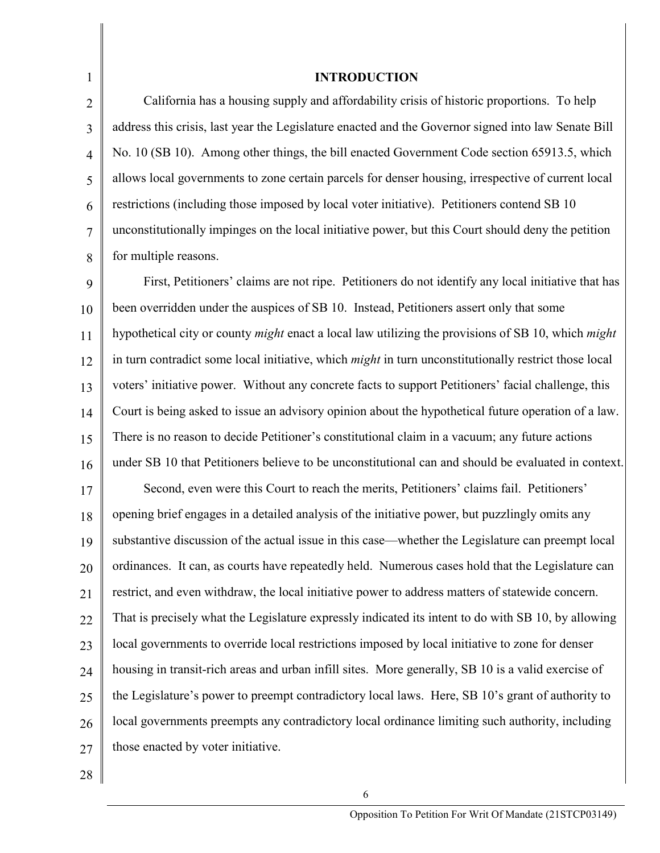1 2 3 4 5 6 7 8 **INTRODUCTION** California has a housing supply and affordability crisis of historic proportions. To help address this crisis, last year the Legislature enacted and the Governor signed into law Senate Bill No. 10 (SB 10). Among other things, the bill enacted Government Code section 65913.5, which allows local governments to zone certain parcels for denser housing, irrespective of current local restrictions (including those imposed by local voter initiative). Petitioners contend SB 10 unconstitutionally impinges on the local initiative power, but this Court should deny the petition for multiple reasons.

9 10 11 12 13 14 15 16 First, Petitioners' claims are not ripe. Petitioners do not identify any local initiative that has been overridden under the auspices of SB 10. Instead, Petitioners assert only that some hypothetical city or county *might* enact a local law utilizing the provisions of SB 10, which *might* in turn contradict some local initiative, which *might* in turn unconstitutionally restrict those local voters' initiative power. Without any concrete facts to support Petitioners' facial challenge, this Court is being asked to issue an advisory opinion about the hypothetical future operation of a law. There is no reason to decide Petitioner's constitutional claim in a vacuum; any future actions under SB 10 that Petitioners believe to be unconstitutional can and should be evaluated in context.

17 18 19 20 21 22 23 24 25 26 27 Second, even were this Court to reach the merits, Petitioners' claims fail. Petitioners' opening brief engages in a detailed analysis of the initiative power, but puzzlingly omits any substantive discussion of the actual issue in this case—whether the Legislature can preempt local ordinances. It can, as courts have repeatedly held. Numerous cases hold that the Legislature can restrict, and even withdraw, the local initiative power to address matters of statewide concern. That is precisely what the Legislature expressly indicated its intent to do with SB 10, by allowing local governments to override local restrictions imposed by local initiative to zone for denser housing in transit-rich areas and urban infill sites. More generally, SB 10 is a valid exercise of the Legislature's power to preempt contradictory local laws. Here, SB 10's grant of authority to local governments preempts any contradictory local ordinance limiting such authority, including those enacted by voter initiative.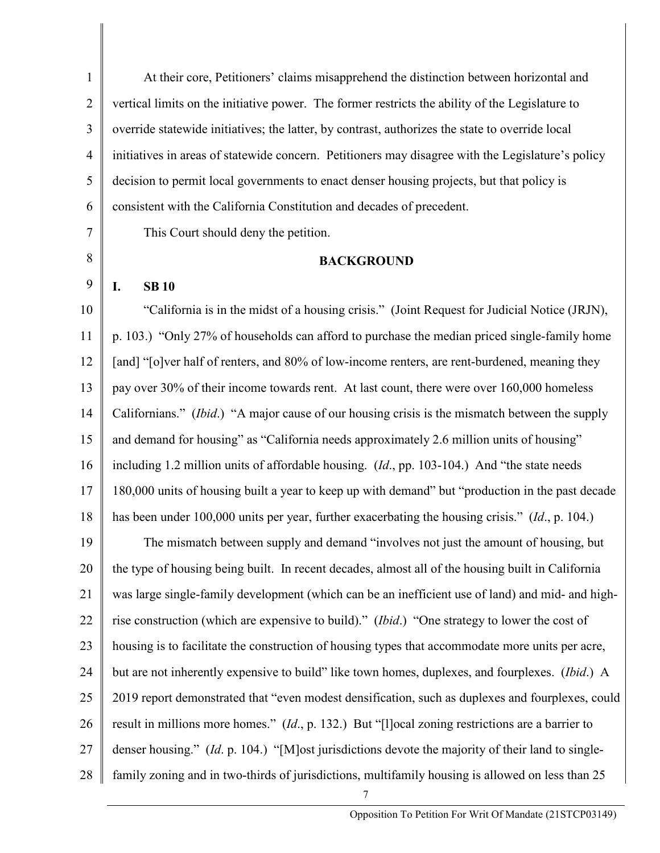1 2 3 4 5 6 7 8 9 10 11 12 13 14 15 16 17 18 19 20 21 22 23 24 25 26 27 28 At their core, Petitioners' claims misapprehend the distinction between horizontal and vertical limits on the initiative power. The former restricts the ability of the Legislature to override statewide initiatives; the latter, by contrast, authorizes the state to override local initiatives in areas of statewide concern. Petitioners may disagree with the Legislature's policy decision to permit local governments to enact denser housing projects, but that policy is consistent with the California Constitution and decades of precedent. This Court should deny the petition. **BACKGROUND I. SB 10** "California is in the midst of a housing crisis." (Joint Request for Judicial Notice (JRJN), p. 103.) "Only 27% of households can afford to purchase the median priced single-family home [and] "[o]ver half of renters, and 80% of low-income renters, are rent-burdened, meaning they pay over 30% of their income towards rent. At last count, there were over 160,000 homeless Californians." (*Ibid*.) "A major cause of our housing crisis is the mismatch between the supply and demand for housing" as "California needs approximately 2.6 million units of housing" including 1.2 million units of affordable housing. (*Id*., pp. 103-104.) And "the state needs 180,000 units of housing built a year to keep up with demand" but "production in the past decade has been under 100,000 units per year, further exacerbating the housing crisis." (*Id*., p. 104.) The mismatch between supply and demand "involves not just the amount of housing, but the type of housing being built. In recent decades, almost all of the housing built in California was large single-family development (which can be an inefficient use of land) and mid- and highrise construction (which are expensive to build)." (*Ibid*.) "One strategy to lower the cost of housing is to facilitate the construction of housing types that accommodate more units per acre, but are not inherently expensive to build" like town homes, duplexes, and fourplexes. (*Ibid*.) A 2019 report demonstrated that "even modest densification, such as duplexes and fourplexes, could result in millions more homes." (*Id*., p. 132.) But "[l]ocal zoning restrictions are a barrier to denser housing." (*Id*. p. 104.) "[M]ost jurisdictions devote the majority of their land to singlefamily zoning and in two-thirds of jurisdictions, multifamily housing is allowed on less than 25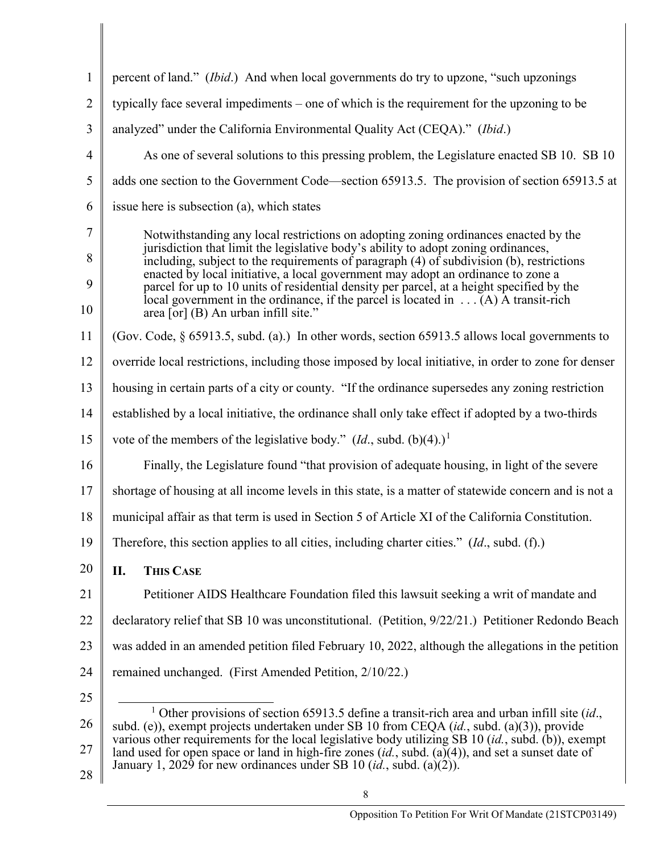<span id="page-7-0"></span>

| $\mathbf{1}$   | percent of land." ( <i>Ibid.</i> ) And when local governments do try to upzone, "such upzonings                                                                                                            |
|----------------|------------------------------------------------------------------------------------------------------------------------------------------------------------------------------------------------------------|
| $\overline{2}$ | typically face several impediments – one of which is the requirement for the upzoning to be                                                                                                                |
| 3              | analyzed" under the California Environmental Quality Act (CEQA)." (Ibid.)                                                                                                                                  |
| $\overline{4}$ | As one of several solutions to this pressing problem, the Legislature enacted SB 10. SB 10                                                                                                                 |
| 5              | adds one section to the Government Code—section 65913.5. The provision of section 65913.5 at                                                                                                               |
| 6              | issue here is subsection (a), which states                                                                                                                                                                 |
| 7              | Notwithstanding any local restrictions on adopting zoning ordinances enacted by the                                                                                                                        |
| 8              | jurisdiction that limit the legislative body's ability to adopt zoning ordinances,<br>including, subject to the requirements of paragraph (4) of subdivision (b), restrictions                             |
| 9              | enacted by local initiative, a local government may adopt an ordinance to zone a<br>parcel for up to 10 units of residential density per parcel, at a height specified by the                              |
| 10             | local government in the ordinance, if the parcel is located in $\dots$ (A) A transit-rich<br>area [or] (B) An urban infill site."                                                                          |
| 11             | (Gov. Code, $\S$ 65913.5, subd. (a).) In other words, section 65913.5 allows local governments to                                                                                                          |
| 12             | override local restrictions, including those imposed by local initiative, in order to zone for denser                                                                                                      |
| 13             | housing in certain parts of a city or county. "If the ordinance supersedes any zoning restriction                                                                                                          |
| 14             | established by a local initiative, the ordinance shall only take effect if adopted by a two-thirds                                                                                                         |
| 15             | vote of the members of the legislative body." $(Id.,$ subd. $(b)(4).)^1$                                                                                                                                   |
| 16             | Finally, the Legislature found "that provision of adequate housing, in light of the severe                                                                                                                 |
| 17             | shortage of housing at all income levels in this state, is a matter of statewide concern and is not a                                                                                                      |
| 18             | municipal affair as that term is used in Section 5 of Article XI of the California Constitution.                                                                                                           |
| 19             | Therefore, this section applies to all cities, including charter cities." (Id., subd. (f).)                                                                                                                |
| 20             | <b>THIS CASE</b><br>II.                                                                                                                                                                                    |
| 21             | Petitioner AIDS Healthcare Foundation filed this lawsuit seeking a writ of mandate and                                                                                                                     |
| 22             | declaratory relief that SB 10 was unconstitutional. (Petition, 9/22/21.) Petitioner Redondo Beach                                                                                                          |
| 23             | was added in an amended petition filed February 10, 2022, although the allegations in the petition                                                                                                         |
| 24             | remained unchanged. (First Amended Petition, 2/10/22.)                                                                                                                                                     |
| 25             |                                                                                                                                                                                                            |
| 26             | <sup>1</sup> Other provisions of section 65913.5 define a transit-rich area and urban infill site (id.,<br>subd. (e)), exempt projects undertaken under SB 10 from CEQA (id., subd. (a)(3)), provide       |
| 27             | various other requirements for the local legislative body utilizing SB 10 $(id,$ , subd. (b)), exempt<br>land used for open space or land in high-fire zones (id., subd. (a)(4)), and set a sunset date of |
|                | January 1, 2029 for new ordinances under SB 10 $(id.,$ subd. $(a)(2))$ .                                                                                                                                   |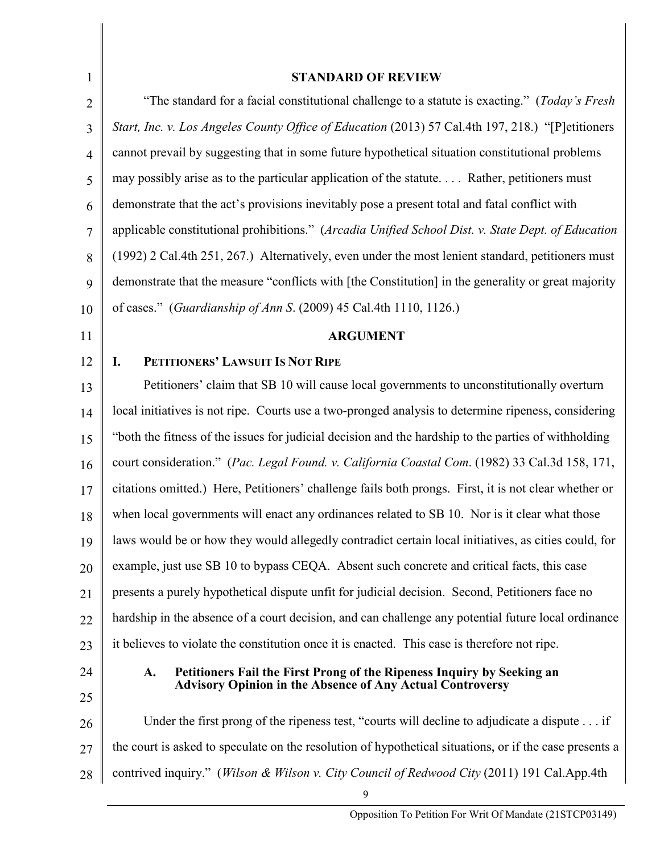| $\mathbf{1}$   | <b>STANDARD OF REVIEW</b>                                                                               |
|----------------|---------------------------------------------------------------------------------------------------------|
| 2              | "The standard for a facial constitutional challenge to a statute is exacting." (Today's Fresh           |
| 3              | Start, Inc. v. Los Angeles County Office of Education (2013) 57 Cal.4th 197, 218.) "[P]etitioners       |
| $\overline{4}$ | cannot prevail by suggesting that in some future hypothetical situation constitutional problems         |
| 5              | may possibly arise as to the particular application of the statute Rather, petitioners must             |
| 6              | demonstrate that the act's provisions inevitably pose a present total and fatal conflict with           |
| 7              | applicable constitutional prohibitions." (Arcadia Unified School Dist. v. State Dept. of Education      |
| 8              | (1992) 2 Cal.4th 251, 267.) Alternatively, even under the most lenient standard, petitioners must       |
| 9              | demonstrate that the measure "conflicts with [the Constitution] in the generality or great majority     |
| 10             | of cases." (Guardianship of Ann S. (2009) 45 Cal.4th 1110, 1126.)                                       |
| 11             | <b>ARGUMENT</b>                                                                                         |
| 12             | PETITIONERS' LAWSUIT IS NOT RIPE<br>I.                                                                  |
| 13             | Petitioners' claim that SB 10 will cause local governments to unconstitutionally overturn               |
| 14             | local initiatives is not ripe. Courts use a two-pronged analysis to determine ripeness, considering     |
| 15             | "both the fitness of the issues for judicial decision and the hardship to the parties of withholding    |
| 16             | court consideration." (Pac. Legal Found. v. California Coastal Com. (1982) 33 Cal.3d 158, 171,          |
| 17             | citations omitted.) Here, Petitioners' challenge fails both prongs. First, it is not clear whether or   |
| 18             | when local governments will enact any ordinances related to SB 10. Nor is it clear what those           |
| 19             | laws would be or how they would allegedly contradict certain local initiatives, as cities could, for    |
| 20             | example, just use SB 10 to bypass CEQA. Absent such concrete and critical facts, this case              |
| 21             | presents a purely hypothetical dispute unfit for judicial decision. Second, Petitioners face no         |
| 22             | hardship in the absence of a court decision, and can challenge any potential future local ordinance     |
| 23             | it believes to violate the constitution once it is enacted. This case is therefore not ripe.            |
| 24             | Petitioners Fail the First Prong of the Ripeness Inquiry by Seeking an<br>A.                            |
| 25             | <b>Advisory Opinion in the Absence of Any Actual Controversy</b>                                        |
| 26             | Under the first prong of the ripeness test, "courts will decline to adjudicate a dispute if             |
| 27             | the court is asked to speculate on the resolution of hypothetical situations, or if the case presents a |
| 28             | contrived inquiry." (Wilson & Wilson v. City Council of Redwood City (2011) 191 Cal.App.4th             |
|                | 9                                                                                                       |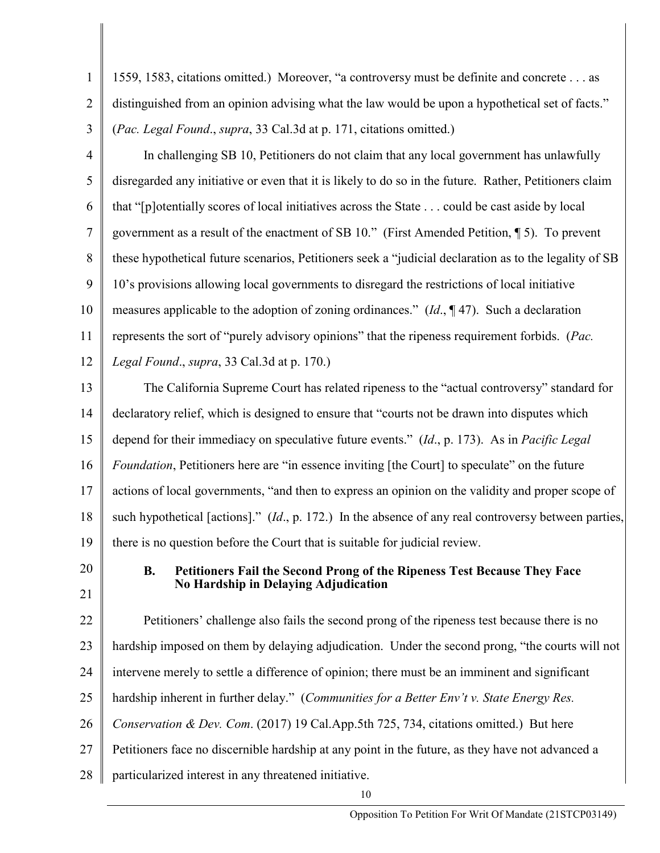| $\mathbf{1}$   | 1559, 1583, citations omitted.) Moreover, "a controversy must be definite and concrete as              |
|----------------|--------------------------------------------------------------------------------------------------------|
| $\overline{2}$ | distinguished from an opinion advising what the law would be upon a hypothetical set of facts."        |
| 3              | (Pac. Legal Found., supra, 33 Cal.3d at p. 171, citations omitted.)                                    |
| $\overline{4}$ | In challenging SB 10, Petitioners do not claim that any local government has unlawfully                |
| 5              | disregarded any initiative or even that it is likely to do so in the future. Rather, Petitioners claim |
| 6              | that "[p]otentially scores of local initiatives across the State could be cast aside by local          |
| 7              | government as a result of the enactment of SB 10." (First Amended Petition, 15). To prevent            |
| 8              | these hypothetical future scenarios, Petitioners seek a "judicial declaration as to the legality of SB |
| 9              | 10's provisions allowing local governments to disregard the restrictions of local initiative           |
| 10             | measures applicable to the adoption of zoning ordinances." $(Id., \P 47)$ . Such a declaration         |
| 11             | represents the sort of "purely advisory opinions" that the ripeness requirement forbids. (Pac.         |
| 12             | Legal Found., supra, 33 Cal.3d at p. 170.)                                                             |
| 13             | The California Supreme Court has related ripeness to the "actual controversy" standard for             |
| 14             | declaratory relief, which is designed to ensure that "courts not be drawn into disputes which          |
| 15             | depend for their immediacy on speculative future events." (Id., p. 173). As in <i>Pacific Legal</i>    |
| 16             | <i>Foundation</i> , Petitioners here are "in essence inviting [the Court] to speculate" on the future  |
| 17             | actions of local governments, "and then to express an opinion on the validity and proper scope of      |
| 18             | such hypothetical [actions]." (Id., p. 172.) In the absence of any real controversy between parties,   |
| 19             | there is no question before the Court that is suitable for judicial review.                            |
| 20             | Petitioners Fail the Second Prong of the Ripeness Test Because They Face<br><b>B.</b>                  |
| 21             | <b>No Hardship in Delaying Adjudication</b>                                                            |
| 22             | Petitioners' challenge also fails the second prong of the ripeness test because there is no            |
| 23             | hardship imposed on them by delaying adjudication. Under the second prong, "the courts will not        |
| 24             | intervene merely to settle a difference of opinion; there must be an imminent and significant          |
| 25             | hardship inherent in further delay." (Communities for a Better Env't v. State Energy Res.              |
| 26             | Conservation & Dev. Com. (2017) 19 Cal.App.5th 725, 734, citations omitted.) But here                  |
| 27             | Petitioners face no discernible hardship at any point in the future, as they have not advanced a       |
|                |                                                                                                        |

28 particularized interest in any threatened initiative.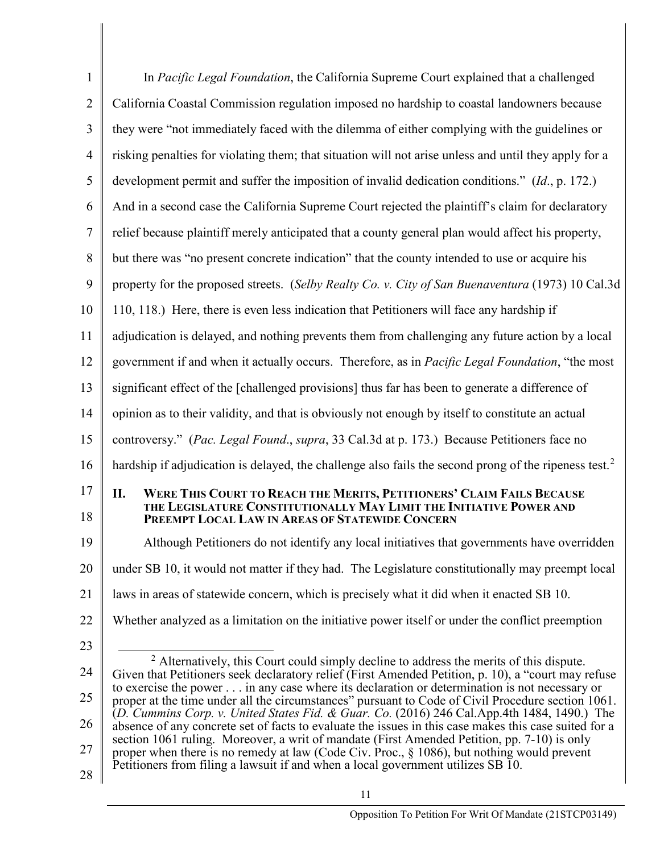<span id="page-10-0"></span>

| $\mathbf{1}$   | In Pacific Legal Foundation, the California Supreme Court explained that a challenged                                                                                                                        |
|----------------|--------------------------------------------------------------------------------------------------------------------------------------------------------------------------------------------------------------|
| $\overline{2}$ | California Coastal Commission regulation imposed no hardship to coastal landowners because                                                                                                                   |
| 3              | they were "not immediately faced with the dilemma of either complying with the guidelines or                                                                                                                 |
| $\overline{4}$ | risking penalties for violating them; that situation will not arise unless and until they apply for a                                                                                                        |
| 5              | development permit and suffer the imposition of invalid dedication conditions." (Id., p. 172.)                                                                                                               |
| 6              | And in a second case the California Supreme Court rejected the plaintiff's claim for declaratory                                                                                                             |
| 7              | relief because plaintiff merely anticipated that a county general plan would affect his property,                                                                                                            |
| 8              | but there was "no present concrete indication" that the county intended to use or acquire his                                                                                                                |
| 9              | property for the proposed streets. (Selby Realty Co. v. City of San Buenaventura (1973) 10 Cal.3d                                                                                                            |
| 10             | 110, 118.) Here, there is even less indication that Petitioners will face any hardship if                                                                                                                    |
| 11             | adjudication is delayed, and nothing prevents them from challenging any future action by a local                                                                                                             |
| 12             | government if and when it actually occurs. Therefore, as in Pacific Legal Foundation, "the most                                                                                                              |
| 13             | significant effect of the [challenged provisions] thus far has been to generate a difference of                                                                                                              |
| 14             | opinion as to their validity, and that is obviously not enough by itself to constitute an actual                                                                                                             |
| 15             | controversy." (Pac. Legal Found., supra, 33 Cal.3d at p. 173.) Because Petitioners face no                                                                                                                   |
| 16             | hardship if adjudication is delayed, the challenge also fails the second prong of the ripeness test. <sup>2</sup>                                                                                            |
| 17<br>18       | П.<br><b>WERE THIS COURT TO REACH THE MERITS, PETITIONERS' CLAIM FAILS BECAUSE</b><br>THE LEGISLATURE CONSTITUTIONALLY MAY LIMIT THE INITIATIVE POWER AND<br>PREEMPT LOCAL LAW IN AREAS OF STATEWIDE CONCERN |
| 19             | Although Petitioners do not identify any local initiatives that governments have overridden                                                                                                                  |
| 20             | under SB 10, it would not matter if they had. The Legislature constitutionally may preempt local                                                                                                             |
| 21             | laws in areas of statewide concern, which is precisely what it did when it enacted SB 10.                                                                                                                    |
| 22             | Whether analyzed as a limitation on the initiative power itself or under the conflict preemption                                                                                                             |
| 23             |                                                                                                                                                                                                              |
| 24             | $2$ Alternatively, this Court could simply decline to address the merits of this dispute.<br>Given that Petitioners seek declaratory relief (First Amended Petition, p. 10), a "court may refuse             |
| 25             | to exercise the power in any case where its declaration or determination is not necessary or<br>proper at the time under all the circumstances" pursuant to Code of Civil Procedure section 1061.            |
| 26             | (D. Cummins Corp. v. United States Fid. & Guar. Co. (2016) 246 Cal.App.4th 1484, 1490.) The<br>absence of any concrete set of facts to evaluate the issues in this case makes this case suited for a         |
| 27             | section 1061 ruling. Moreover, a writ of mandate (First Amended Petition, pp. 7-10) is only<br>proper when there is no remedy at law (Code Civ. Proc., $\S$ 1086), but nothing would prevent                 |
| 28             | Petitioners from filing a lawsuit if and when a local government utilizes SB 10.                                                                                                                             |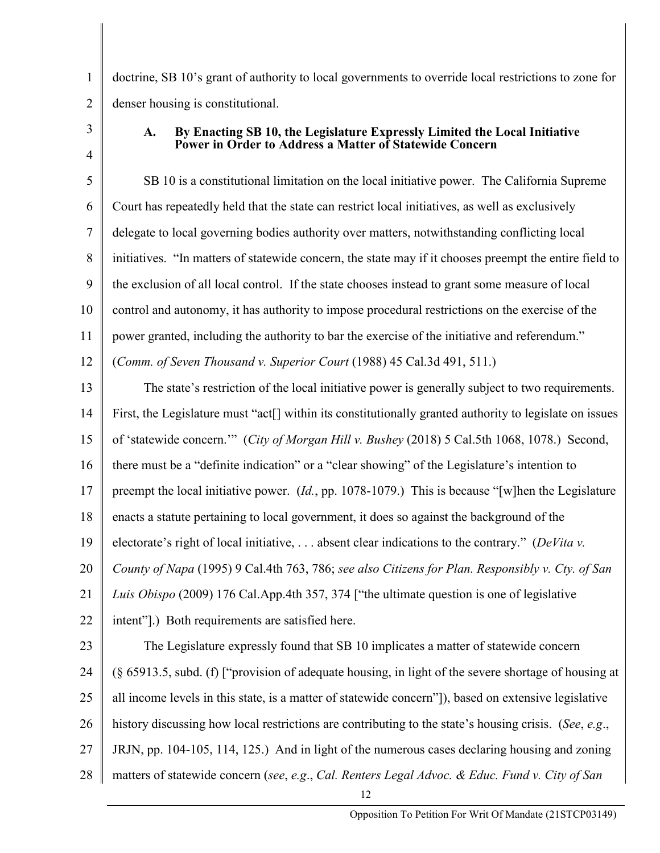doctrine, SB 10's grant of authority to local governments to override local restrictions to zone for denser housing is constitutional.

3 4

1

2

## **A. By Enacting SB 10, the Legislature Expressly Limited the Local Initiative Power in Order to Address a Matter of Statewide Concern**

5 6 7 8 9 10 11 SB 10 is a constitutional limitation on the local initiative power. The California Supreme Court has repeatedly held that the state can restrict local initiatives, as well as exclusively delegate to local governing bodies authority over matters, notwithstanding conflicting local initiatives. "In matters of statewide concern, the state may if it chooses preempt the entire field to the exclusion of all local control. If the state chooses instead to grant some measure of local control and autonomy, it has authority to impose procedural restrictions on the exercise of the power granted, including the authority to bar the exercise of the initiative and referendum."

12 (*Comm. of Seven Thousand v. Superior Court* (1988) 45 Cal.3d 491, 511.)

13 14 15 16 17 18 19 20 21 22 23 24 25 26 27 The state's restriction of the local initiative power is generally subject to two requirements. First, the Legislature must "act<sup>[]</sup> within its constitutionally granted authority to legislate on issues of 'statewide concern.'" (*City of Morgan Hill v. Bushey* (2018) 5 Cal.5th 1068, 1078.) Second, there must be a "definite indication" or a "clear showing" of the Legislature's intention to preempt the local initiative power. (*Id.*, pp. 1078-1079.) This is because "[w]hen the Legislature enacts a statute pertaining to local government, it does so against the background of the electorate's right of local initiative, . . . absent clear indications to the contrary." (*DeVita v. County of Napa* (1995) 9 Cal.4th 763, 786; *see also Citizens for Plan. Responsibly v. Cty. of San Luis Obispo* (2009) 176 Cal.App.4th 357, 374 ["the ultimate question is one of legislative intent"].) Both requirements are satisfied here. The Legislature expressly found that SB 10 implicates a matter of statewide concern (§ 65913.5, subd. (f) ["provision of adequate housing, in light of the severe shortage of housing at all income levels in this state, is a matter of statewide concern"]), based on extensive legislative history discussing how local restrictions are contributing to the state's housing crisis. (*See*, *e.g*., JRJN, pp. 104-105, 114, 125.) And in light of the numerous cases declaring housing and zoning

28 matters of statewide concern (*see*, *e.g*., *Cal. Renters Legal Advoc. & Educ. Fund v. City of San*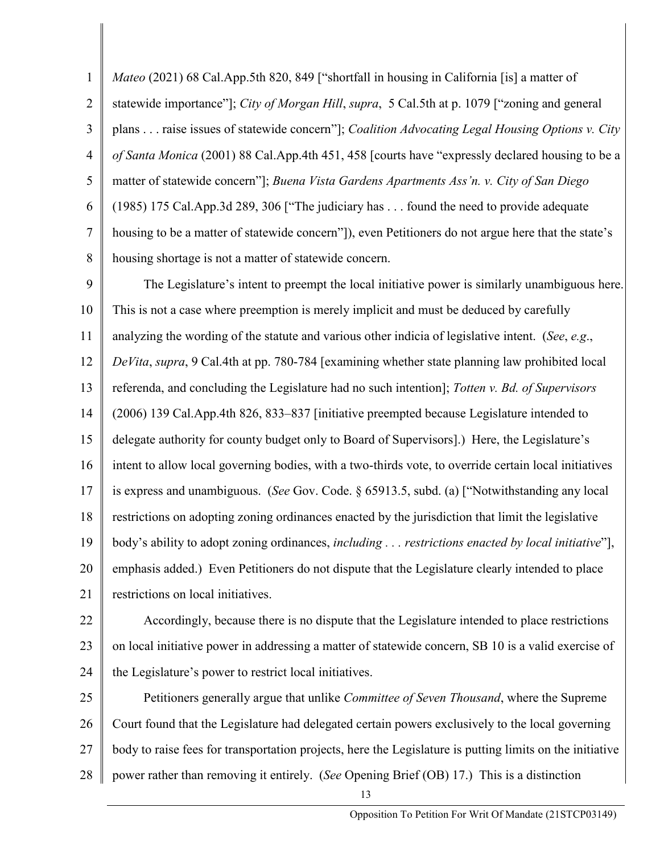1 2 3 4 5 6 7 8 *Mateo* (2021) 68 Cal.App.5th 820, 849 ["shortfall in housing in California [is] a matter of statewide importance"]; *City of Morgan Hill*, *supra*, 5 Cal.5th at p. 1079 ["zoning and general plans . . . raise issues of statewide concern"]; *Coalition Advocating Legal Housing Options v. City of Santa Monica* (2001) 88 Cal.App.4th 451, 458 [courts have "expressly declared housing to be a matter of statewide concern"]; *Buena Vista Gardens Apartments Ass'n. v. City of San Diego*  (1985) 175 Cal.App.3d 289, 306 ["The judiciary has . . . found the need to provide adequate housing to be a matter of statewide concern"], even Petitioners do not argue here that the state's housing shortage is not a matter of statewide concern.

9 10 11 12 13 14 15 16 17 18 19 20 21 The Legislature's intent to preempt the local initiative power is similarly unambiguous here. This is not a case where preemption is merely implicit and must be deduced by carefully analyzing the wording of the statute and various other indicia of legislative intent. (*See*, *e.g*., *DeVita*, *supra*, 9 Cal.4th at pp. 780-784 [examining whether state planning law prohibited local referenda, and concluding the Legislature had no such intention]; *Totten v. Bd. of Supervisors* (2006) 139 Cal.App.4th 826, 833–837 [initiative preempted because Legislature intended to delegate authority for county budget only to Board of Supervisors].) Here, the Legislature's intent to allow local governing bodies, with a two-thirds vote, to override certain local initiatives is express and unambiguous. (*See* Gov. Code. § 65913.5, subd. (a) ["Notwithstanding any local restrictions on adopting zoning ordinances enacted by the jurisdiction that limit the legislative body's ability to adopt zoning ordinances, *including . . . restrictions enacted by local initiative*"], emphasis added.) Even Petitioners do not dispute that the Legislature clearly intended to place restrictions on local initiatives.

22 23 24 Accordingly, because there is no dispute that the Legislature intended to place restrictions on local initiative power in addressing a matter of statewide concern, SB 10 is a valid exercise of the Legislature's power to restrict local initiatives.

25 26 27 28 Petitioners generally argue that unlike *Committee of Seven Thousand*, where the Supreme Court found that the Legislature had delegated certain powers exclusively to the local governing body to raise fees for transportation projects, here the Legislature is putting limits on the initiative power rather than removing it entirely. (*See* Opening Brief (OB) 17.) This is a distinction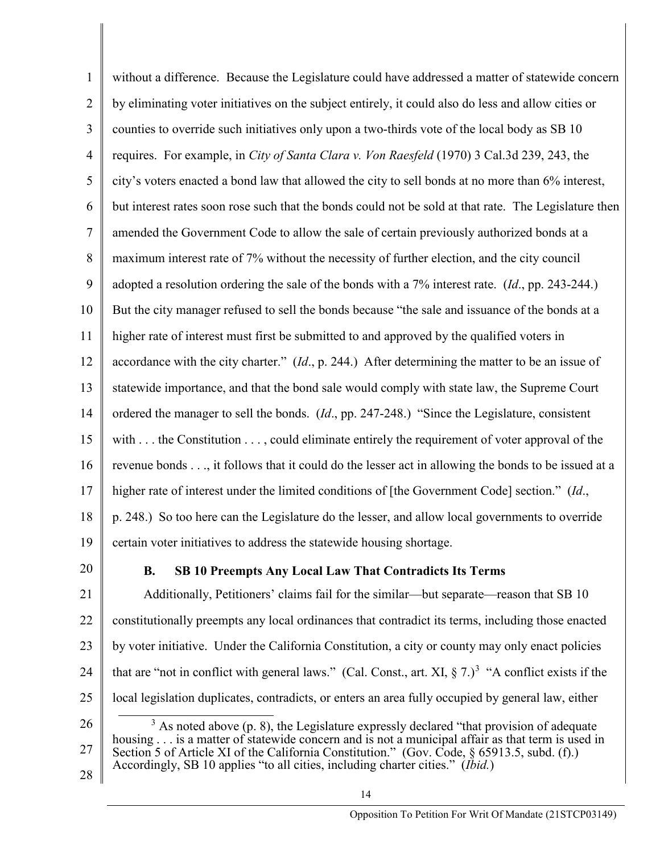1 2 3 4 5 6 7 8 9 10 11 12 13 14 15 16 17 18 19 without a difference. Because the Legislature could have addressed a matter of statewide concern by eliminating voter initiatives on the subject entirely, it could also do less and allow cities or counties to override such initiatives only upon a two-thirds vote of the local body as SB 10 requires. For example, in *City of Santa Clara v. Von Raesfeld* (1970) 3 Cal.3d 239, 243, the city's voters enacted a bond law that allowed the city to sell bonds at no more than 6% interest, but interest rates soon rose such that the bonds could not be sold at that rate. The Legislature then amended the Government Code to allow the sale of certain previously authorized bonds at a maximum interest rate of 7% without the necessity of further election, and the city council adopted a resolution ordering the sale of the bonds with a 7% interest rate. (*Id*., pp. 243-244.) But the city manager refused to sell the bonds because "the sale and issuance of the bonds at a higher rate of interest must first be submitted to and approved by the qualified voters in accordance with the city charter." (*Id*., p. 244.) After determining the matter to be an issue of statewide importance, and that the bond sale would comply with state law, the Supreme Court ordered the manager to sell the bonds. (*Id*., pp. 247-248.) "Since the Legislature, consistent with  $\dots$  the Constitution  $\dots$ , could eliminate entirely the requirement of voter approval of the revenue bonds . . ., it follows that it could do the lesser act in allowing the bonds to be issued at a higher rate of interest under the limited conditions of [the Government Code] section." (*Id*., p. 248.) So too here can the Legislature do the lesser, and allow local governments to override certain voter initiatives to address the statewide housing shortage.

20

## **B. SB 10 Preempts Any Local Law That Contradicts Its Terms**

21 22 23 24 25 Additionally, Petitioners' claims fail for the similar—but separate—reason that SB 10 constitutionally preempts any local ordinances that contradict its terms, including those enacted by voter initiative. Under the California Constitution, a city or county may only enact policies that are "not in conflict with general laws." (Cal. Const., art. XI,  $\S 7.$ )<sup>[3](#page-13-0)</sup> "A conflict exists if the local legislation duplicates, contradicts, or enters an area fully occupied by general law, either

<span id="page-13-0"></span>26 27  $3$  As noted above (p. 8), the Legislature expressly declared "that provision of adequate housing . . . is a matter of statewide concern and is not a municipal affair as that term is used in Section 5 of Article XI of the California Constitution." (Gov. Code, § 65913.5, subd. (f).) Accordingly, SB 10 applies "to all cities, including charter cities." (*Ibid.*)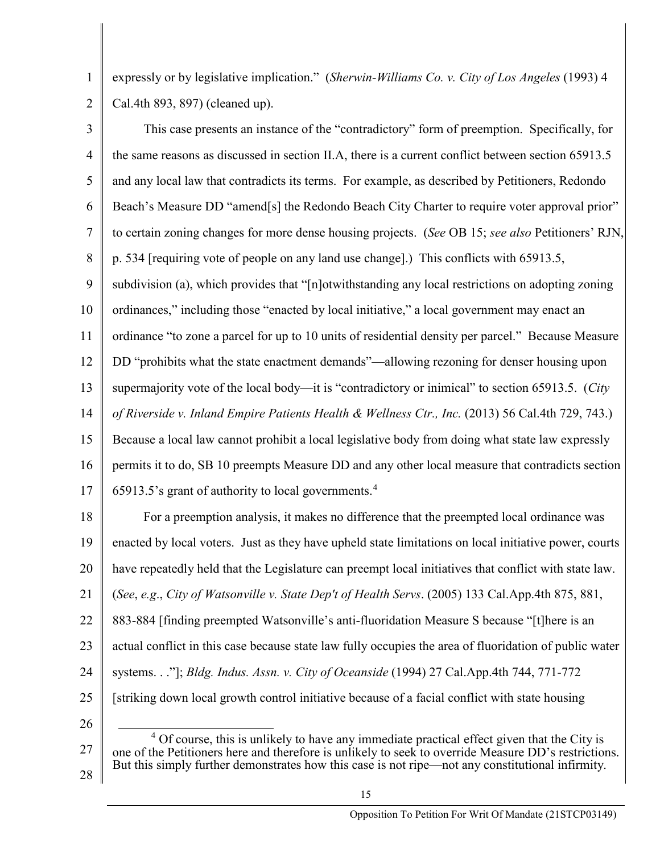expressly or by legislative implication." (*Sherwin-Williams Co. v. City of Los Angeles* (1993) 4 Cal.4th 893, 897) (cleaned up).

1

2

3 4 5 6 7 8 9 10 11 12 13 14 15 16 17 This case presents an instance of the "contradictory" form of preemption. Specifically, for the same reasons as discussed in section II.A, there is a current conflict between section 65913.5 and any local law that contradicts its terms. For example, as described by Petitioners, Redondo Beach's Measure DD "amend[s] the Redondo Beach City Charter to require voter approval prior" to certain zoning changes for more dense housing projects. (*See* OB 15; *see also* Petitioners' RJN, p. 534 [requiring vote of people on any land use change].) This conflicts with 65913.5, subdivision (a), which provides that "[n]otwithstanding any local restrictions on adopting zoning ordinances," including those "enacted by local initiative," a local government may enact an ordinance "to zone a parcel for up to 10 units of residential density per parcel." Because Measure DD "prohibits what the state enactment demands"—allowing rezoning for denser housing upon supermajority vote of the local body—it is "contradictory or inimical" to section 65913.5. (*City of Riverside v. Inland Empire Patients Health & Wellness Ctr., Inc.* (2013) 56 Cal.4th 729, 743.) Because a local law cannot prohibit a local legislative body from doing what state law expressly permits it to do, SB 10 preempts Measure DD and any other local measure that contradicts section 65913.5's grant of authority to local governments. $4$ 

18 19 20 21 22 23 24 25 26 For a preemption analysis, it makes no difference that the preempted local ordinance was enacted by local voters. Just as they have upheld state limitations on local initiative power, courts have repeatedly held that the Legislature can preempt local initiatives that conflict with state law. (*See*, *e.g*., *City of Watsonville v. State Dep't of Health Servs*. (2005) 133 Cal.App.4th 875, 881, 883-884 [finding preempted Watsonville's anti-fluoridation Measure S because "[t]here is an actual conflict in this case because state law fully occupies the area of fluoridation of public water systems. . ."]; *Bldg. Indus. Assn. v. City of Oceanside* (1994) 27 Cal.App.4th 744, 771-772 [striking down local growth control initiative because of a facial conflict with state housing

<span id="page-14-0"></span>27 28  $4$  Of course, this is unlikely to have any immediate practical effect given that the City is one of the Petitioners here and therefore is unlikely to seek to override Measure DD's restrictions. But this simply further demonstrates how this case is not ripe—not any constitutional infirmity.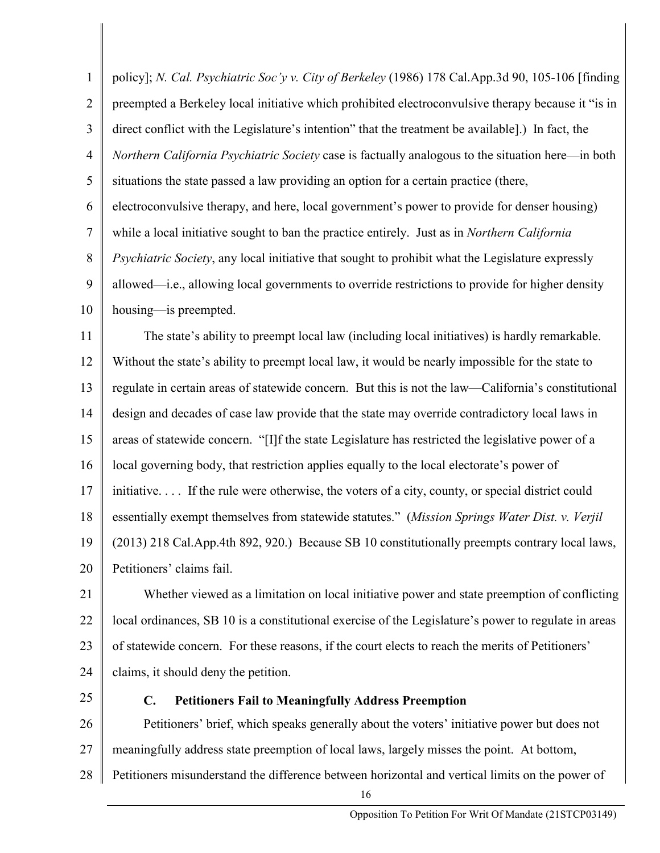| $\mathbf{1}$   | policy]; N. Cal. Psychiatric Soc'y v. City of Berkeley (1986) 178 Cal.App.3d 90, 105-106 [finding    |
|----------------|------------------------------------------------------------------------------------------------------|
| $\overline{2}$ | preempted a Berkeley local initiative which prohibited electroconvulsive therapy because it "is in   |
| 3              | direct conflict with the Legislature's intention" that the treatment be available].) In fact, the    |
| $\overline{4}$ | Northern California Psychiatric Society case is factually analogous to the situation here—in both    |
| 5              | situations the state passed a law providing an option for a certain practice (there,                 |
| 6              | electroconvulsive therapy, and here, local government's power to provide for denser housing)         |
| $\overline{7}$ | while a local initiative sought to ban the practice entirely. Just as in Northern California         |
| $8\phantom{1}$ | Psychiatric Society, any local initiative that sought to prohibit what the Legislature expressly     |
| 9              | allowed—i.e., allowing local governments to override restrictions to provide for higher density      |
| 10             | housing-is preempted.                                                                                |
| 11             | The state's ability to preempt local law (including local initiatives) is hardly remarkable.         |
| 12             | Without the state's ability to preempt local law, it would be nearly impossible for the state to     |
| 13             | regulate in certain areas of statewide concern. But this is not the law—California's constitutional  |
| 14             | design and decades of case law provide that the state may override contradictory local laws in       |
| 15             | areas of statewide concern. "[I]f the state Legislature has restricted the legislative power of a    |
| 16             | local governing body, that restriction applies equally to the local electorate's power of            |
| 17             | initiative If the rule were otherwise, the voters of a city, county, or special district could       |
| 18             | essentially exempt themselves from statewide statutes." (Mission Springs Water Dist. v. Verjil       |
| 19             | (2013) 218 Cal.App.4th 892, 920.) Because SB 10 constitutionally preempts contrary local laws,       |
| 20             | Petitioners' claims fail.                                                                            |
| 21             | Whether viewed as a limitation on local initiative power and state preemption of conflicting         |
| 22             | local ordinances, SB 10 is a constitutional exercise of the Legislature's power to regulate in areas |
| 23             | of statewide concern. For these reasons, if the court elects to reach the merits of Petitioners'     |
| 24             | claims, it should deny the petition.                                                                 |
| 25             | <b>Petitioners Fail to Meaningfully Address Preemption</b><br>$\mathbf{C}$ .                         |
| $\sim$         |                                                                                                      |

26 27 28 Petitioners' brief, which speaks generally about the voters' initiative power but does not meaningfully address state preemption of local laws, largely misses the point. At bottom, Petitioners misunderstand the difference between horizontal and vertical limits on the power of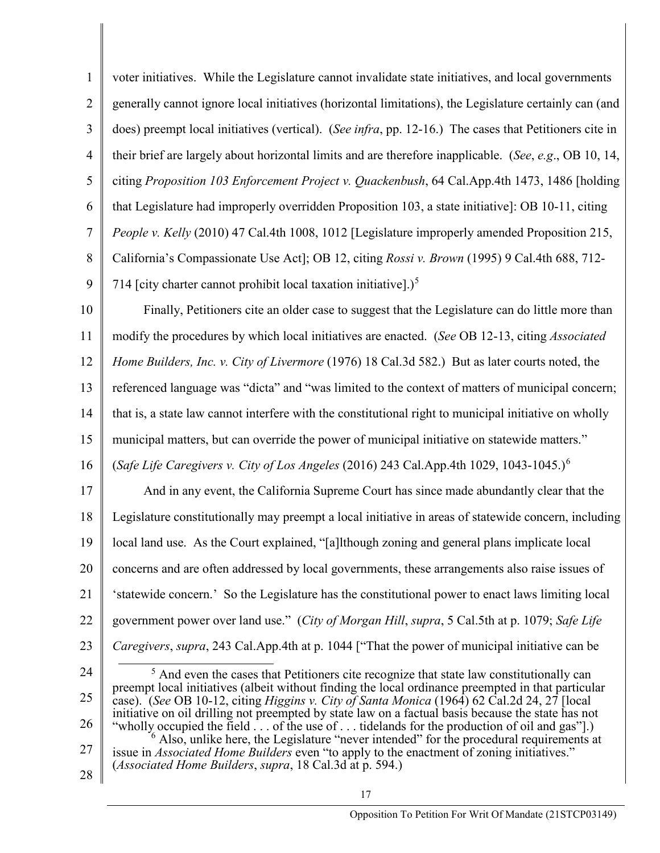1 2 3 4 5 6 7 8 9 10 11 12 13 14 15 16 voter initiatives. While the Legislature cannot invalidate state initiatives, and local governments generally cannot ignore local initiatives (horizontal limitations), the Legislature certainly can (and does) preempt local initiatives (vertical). (*See infra*, pp. 12-16.) The cases that Petitioners cite in their brief are largely about horizontal limits and are therefore inapplicable. (*See*, *e.g*., OB 10, 14, citing *Proposition 103 Enforcement Project v. Quackenbush*, 64 Cal.App.4th 1473, 1486 [holding that Legislature had improperly overridden Proposition 103, a state initiative]: OB 10-11, citing *People v. Kelly* (2010) 47 Cal.4th 1008, 1012 [Legislature improperly amended Proposition 215, California's Compassionate Use Act]; OB 12, citing *Rossi v. Brown* (1995) 9 Cal.4th 688, 712- 714 [city charter cannot prohibit local taxation initiative].)<sup>[5](#page-16-0)</sup> Finally, Petitioners cite an older case to suggest that the Legislature can do little more than modify the procedures by which local initiatives are enacted. (*See* OB 12-13, citing *Associated Home Builders, Inc. v. City of Livermore* (1976) 18 Cal.3d 582.) But as later courts noted, the referenced language was "dicta" and "was limited to the context of matters of municipal concern; that is, a state law cannot interfere with the constitutional right to municipal initiative on wholly municipal matters, but can override the power of municipal initiative on statewide matters." (*Safe Life Caregivers v. City of Los Angeles* (2016) 243 Cal.App.4th 1029, 1043-1045.)[6](#page-16-1)

17 18 19 20 21 22 23 And in any event, the California Supreme Court has since made abundantly clear that the Legislature constitutionally may preempt a local initiative in areas of statewide concern, including local land use. As the Court explained, "[a]lthough zoning and general plans implicate local concerns and are often addressed by local governments, these arrangements also raise issues of 'statewide concern.' So the Legislature has the constitutional power to enact laws limiting local government power over land use." (*City of Morgan Hill*, *supra*, 5 Cal.5th at p. 1079; *Safe Life Caregivers*, *supra*, 243 Cal.App.4th at p. 1044 ["That the power of municipal initiative can be

- <span id="page-16-0"></span>24 25 26 27 <sup>5</sup> And even the cases that Petitioners cite recognize that state law constitutionally can preempt local initiatives (albeit without finding the local ordinance preempted in that particular case). (*See* OB 10-12, citing *Higgins v. City of Santa Monica* (1964) 62 Cal.2d 24, 27 [local initiative on oil drilling not preempted by state law on a factual basis because the state has not "wholly occupied the field . . . of the use of . . . tidelands for the production of oil and gas"..)  $\frac{1}{6}$  Also, unlike here, the Legislature "never intended" for the procedural requirements at issue in *Associated Home Builders* even "to apply to the enactment of zoning initiatives." (*Associated Home Builders*, *supra*, 18 Cal.3d at p. 594.)
- <span id="page-16-1"></span>28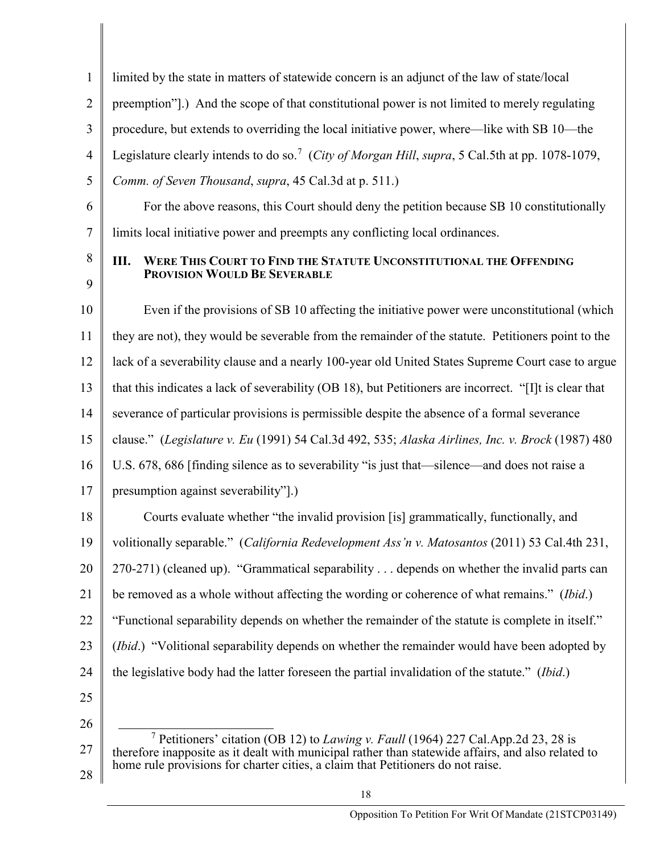<span id="page-17-0"></span>

| 1              | limited by the state in matters of statewide concern is an adjunct of the law of state/local                                                                                                               |
|----------------|------------------------------------------------------------------------------------------------------------------------------------------------------------------------------------------------------------|
| $\overline{2}$ | preemption"].) And the scope of that constitutional power is not limited to merely regulating                                                                                                              |
| 3              | procedure, but extends to overriding the local initiative power, where—like with SB 10—the                                                                                                                 |
| $\overline{4}$ | Legislature clearly intends to do so. <sup>7</sup> (City of Morgan Hill, supra, 5 Cal.5th at pp. 1078-1079,                                                                                                |
| 5              | Comm. of Seven Thousand, supra, 45 Cal.3d at p. 511.)                                                                                                                                                      |
| 6              | For the above reasons, this Court should deny the petition because SB 10 constitutionally                                                                                                                  |
| 7              | limits local initiative power and preempts any conflicting local ordinances.                                                                                                                               |
| 8<br>9         | WERE THIS COURT TO FIND THE STATUTE UNCONSTITUTIONAL THE OFFENDING<br>Ш.<br>PROVISION WOULD BE SEVERABLE                                                                                                   |
| 10             | Even if the provisions of SB 10 affecting the initiative power were unconstitutional (which                                                                                                                |
| 11             | they are not), they would be severable from the remainder of the statute. Petitioners point to the                                                                                                         |
| 12             | lack of a severability clause and a nearly 100-year old United States Supreme Court case to argue                                                                                                          |
| 13             | that this indicates a lack of severability (OB 18), but Petitioners are incorrect. "[I]t is clear that                                                                                                     |
| 14             | severance of particular provisions is permissible despite the absence of a formal severance                                                                                                                |
| 15             | clause." (Legislature v. Eu (1991) 54 Cal.3d 492, 535; Alaska Airlines, Inc. v. Brock (1987) 480                                                                                                           |
| 16             | U.S. 678, 686 [finding silence as to severability "is just that—silence—and does not raise a                                                                                                               |
| 17             | presumption against severability"].)                                                                                                                                                                       |
| 18             | Courts evaluate whether "the invalid provision [is] grammatically, functionally, and                                                                                                                       |
| 19             | volitionally separable." (California Redevelopment Ass'n v. Matosantos (2011) 53 Cal.4th 231,                                                                                                              |
| 20             | 270-271) (cleaned up). "Grammatical separability depends on whether the invalid parts can                                                                                                                  |
| 21             | be removed as a whole without affecting the wording or coherence of what remains." (Ibid.)                                                                                                                 |
| 22             | "Functional separability depends on whether the remainder of the statute is complete in itself."                                                                                                           |
| 23             | ( <i>Ibid.</i> ) "Volitional separability depends on whether the remainder would have been adopted by                                                                                                      |
| 24             | the legislative body had the latter foreseen the partial invalidation of the statute." (Ibid.)                                                                                                             |
| 25             |                                                                                                                                                                                                            |
| 26             |                                                                                                                                                                                                            |
| 27             | <sup>7</sup> Petitioners' citation (OB 12) to <i>Lawing v. Faull</i> (1964) 227 Cal.App.2d 23, 28 is<br>therefore inapposite as it dealt with municipal rather than statewide affairs, and also related to |
| 28             | home rule provisions for charter cities, a claim that Petitioners do not raise.                                                                                                                            |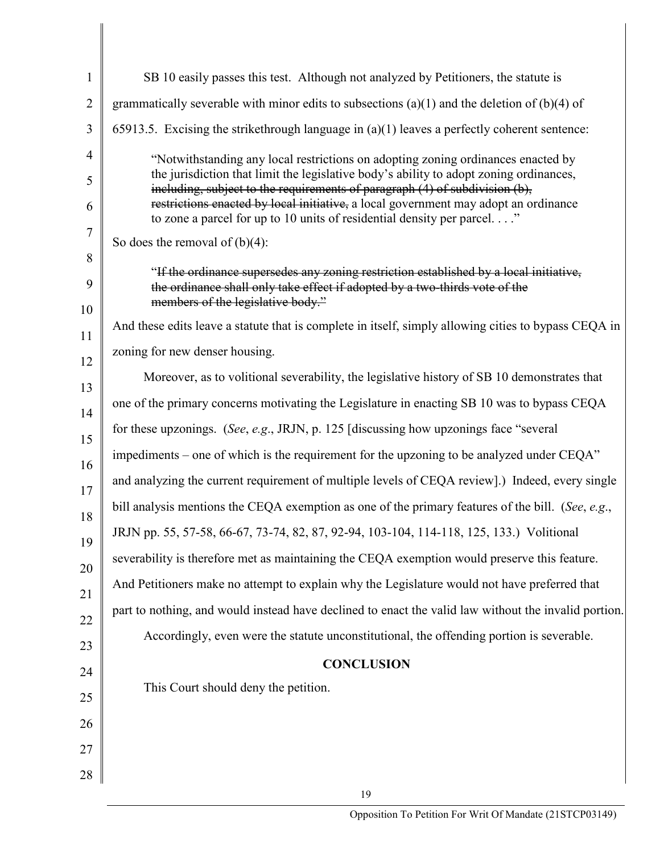| $\mathbf{1}$   | SB 10 easily passes this test. Although not analyzed by Petitioners, the statute is                                                                                     |
|----------------|-------------------------------------------------------------------------------------------------------------------------------------------------------------------------|
| $\overline{2}$ | grammatically severable with minor edits to subsections (a)(1) and the deletion of (b)(4) of                                                                            |
| 3              | 65913.5. Excising the strikethrough language in $(a)(1)$ leaves a perfectly coherent sentence:                                                                          |
| $\overline{4}$ | "Notwithstanding any local restrictions on adopting zoning ordinances enacted by                                                                                        |
| 5              | the jurisdiction that limit the legislative body's ability to adopt zoning ordinances,<br>including, subject to the requirements of paragraph (4) of subdivision (b),   |
| 6              | restrictions enacted by local initiative, a local government may adopt an ordinance<br>to zone a parcel for up to 10 units of residential density per parcel. $\dots$ " |
| $\tau$         | So does the removal of $(b)(4)$ :                                                                                                                                       |
| 8              | "If the ordinance supersedes any zoning restriction established by a local initiative,                                                                                  |
| 9              | the ordinance shall only take effect if adopted by a two-thirds vote of the<br>members of the legislative body."                                                        |
| 10             | And these edits leave a statute that is complete in itself, simply allowing cities to bypass CEQA in                                                                    |
| 11             | zoning for new denser housing.                                                                                                                                          |
| 12             | Moreover, as to volitional severability, the legislative history of SB 10 demonstrates that                                                                             |
| 13<br>14       | one of the primary concerns motivating the Legislature in enacting SB 10 was to bypass CEQA                                                                             |
| 15             | for these upzonings. (See, e.g., JRJN, p. 125 [discussing how upzonings face "several                                                                                   |
| 16             | impediments – one of which is the requirement for the upzoning to be analyzed under CEQA"                                                                               |
| 17             | and analyzing the current requirement of multiple levels of CEQA review].) Indeed, every single                                                                         |
| 18             | bill analysis mentions the CEQA exemption as one of the primary features of the bill. (See, e.g.,                                                                       |
| 19             | JRJN pp. 55, 57-58, 66-67, 73-74, 82, 87, 92-94, 103-104, 114-118, 125, 133.) Volitional                                                                                |
| 20             | severability is therefore met as maintaining the CEQA exemption would preserve this feature.                                                                            |
| 21             | And Petitioners make no attempt to explain why the Legislature would not have preferred that                                                                            |
| 22             | part to nothing, and would instead have declined to enact the valid law without the invalid portion.                                                                    |
| 23             | Accordingly, even were the statute unconstitutional, the offending portion is severable.                                                                                |
| 24             | <b>CONCLUSION</b>                                                                                                                                                       |
| 25             | This Court should deny the petition.                                                                                                                                    |
| 26             |                                                                                                                                                                         |
| 27             |                                                                                                                                                                         |
| $28\,$         |                                                                                                                                                                         |
|                | 19                                                                                                                                                                      |